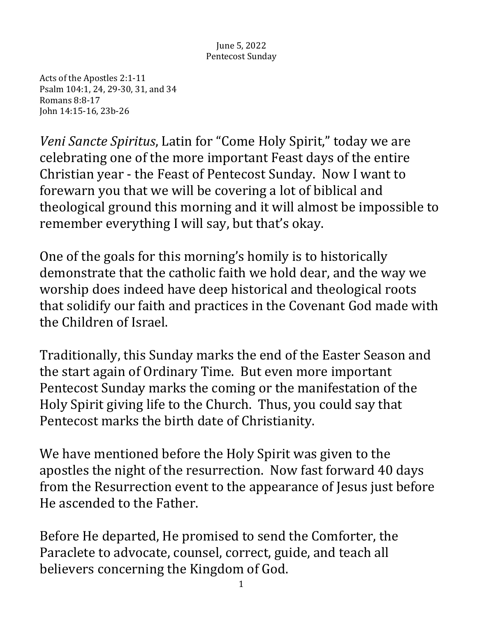## June 5, 2022 Pentecost Sunday

Acts of the Apostles 2:1-11 Psalm 104:1, 24, 29-30, 31, and 34 Romans 8:8-17 John 14:15-16, 23b-26

*Veni Sancte Spiritus, Latin for* "Come Holy Spirit," today we are celebrating one of the more important Feast days of the entire Christian year - the Feast of Pentecost Sunday. Now I want to forewarn you that we will be covering a lot of biblical and theological ground this morning and it will almost be impossible to remember everything I will say, but that's okay.

One of the goals for this morning's homily is to historically demonstrate that the catholic faith we hold dear, and the way we worship does indeed have deep historical and theological roots that solidify our faith and practices in the Covenant God made with the Children of Israel.

Traditionally, this Sunday marks the end of the Easter Season and the start again of Ordinary Time. But even more important Pentecost Sunday marks the coming or the manifestation of the Holy Spirit giving life to the Church. Thus, you could say that Pentecost marks the birth date of Christianity.

We have mentioned before the Holy Spirit was given to the apostles the night of the resurrection. Now fast forward 40 days from the Resurrection event to the appearance of Jesus just before He ascended to the Father.

Before He departed, He promised to send the Comforter, the Paraclete to advocate, counsel, correct, guide, and teach all believers concerning the Kingdom of God.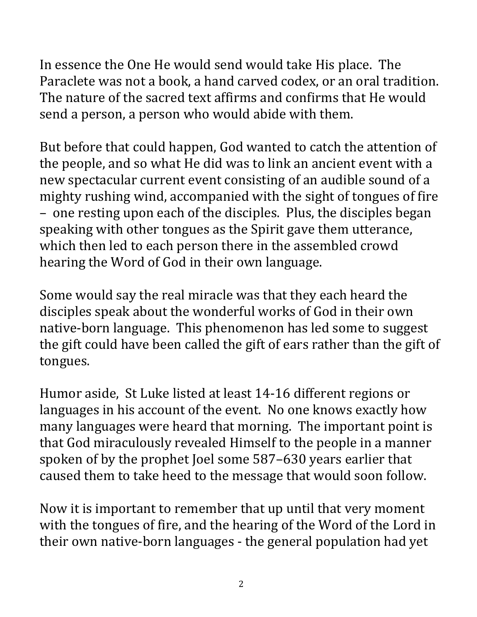In essence the One He would send would take His place. The Paraclete was not a book, a hand carved codex, or an oral tradition. The nature of the sacred text affirms and confirms that He would send a person, a person who would abide with them.

But before that could happen, God wanted to catch the attention of the people, and so what He did was to link an ancient event with a new spectacular current event consisting of an audible sound of a mighty rushing wind, accompanied with the sight of tongues of fire – one resting upon each of the disciples. Plus, the disciples began speaking with other tongues as the Spirit gave them utterance, which then led to each person there in the assembled crowd hearing the Word of God in their own language.

Some would say the real miracle was that they each heard the disciples speak about the wonderful works of God in their own native-born language. This phenomenon has led some to suggest the gift could have been called the gift of ears rather than the gift of tongues.

Humor aside, St Luke listed at least 14-16 different regions or languages in his account of the event. No one knows exactly how many languages were heard that morning. The important point is that God miraculously revealed Himself to the people in a manner spoken of by the prophet Joel some 587-630 years earlier that caused them to take heed to the message that would soon follow.

Now it is important to remember that up until that very moment with the tongues of fire, and the hearing of the Word of the Lord in their own native-born languages - the general population had yet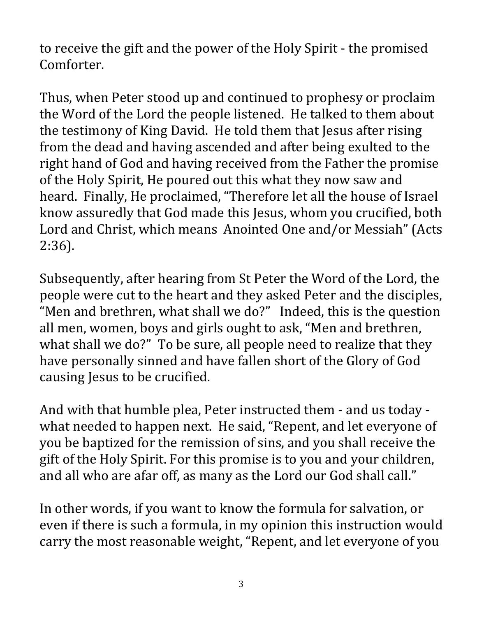to receive the gift and the power of the Holy Spirit - the promised Comforter.

Thus, when Peter stood up and continued to prophesy or proclaim the Word of the Lord the people listened. He talked to them about the testimony of King David. He told them that Jesus after rising from the dead and having ascended and after being exulted to the right hand of God and having received from the Father the promise of the Holy Spirit, He poured out this what they now saw and heard. Finally, He proclaimed, "Therefore let all the house of Israel know assuredly that God made this Jesus, whom you crucified, both Lord and Christ, which means Anointed One and/or Messiah" (Acts 2:36).

Subsequently, after hearing from St Peter the Word of the Lord, the people were cut to the heart and they asked Peter and the disciples, "Men and brethren, what shall we do?" Indeed, this is the question all men, women, boys and girls ought to ask, "Men and brethren, what shall we do?" To be sure, all people need to realize that they have personally sinned and have fallen short of the Glory of God causing Jesus to be crucified.

And with that humble plea, Peter instructed them - and us today what needed to happen next. He said, "Repent, and let everyone of you be baptized for the remission of sins, and you shall receive the gift of the Holy Spirit. For this promise is to you and your children, and all who are afar off, as many as the Lord our God shall call."

In other words, if you want to know the formula for salvation, or even if there is such a formula, in my opinion this instruction would carry the most reasonable weight, "Repent, and let everyone of you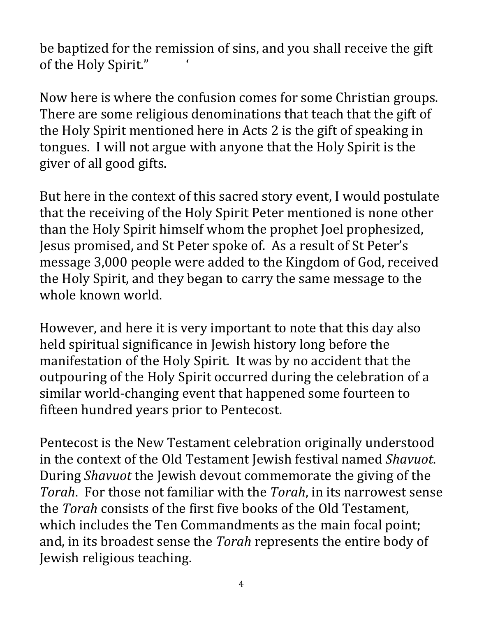be baptized for the remission of sins, and you shall receive the gift of the Holy Spirit."

Now here is where the confusion comes for some Christian groups. There are some religious denominations that teach that the gift of the Holy Spirit mentioned here in Acts 2 is the gift of speaking in tongues. I will not argue with anyone that the Holy Spirit is the giver of all good gifts.

But here in the context of this sacred story event, I would postulate that the receiving of the Holy Spirit Peter mentioned is none other than the Holy Spirit himself whom the prophet Joel prophesized, Jesus promised, and St Peter spoke of. As a result of St Peter's message 3,000 people were added to the Kingdom of God, received the Holy Spirit, and they began to carry the same message to the whole known world.

However, and here it is very important to note that this day also held spiritual significance in Jewish history long before the manifestation of the Holy Spirit. It was by no accident that the outpouring of the Holy Spirit occurred during the celebration of a similar world-changing event that happened some fourteen to fifteen hundred years prior to Pentecost.

Pentecost is the New Testament celebration originally understood in the context of the Old Testament Jewish festival named *Shavuot*. During *Shavuot* the Jewish devout commemorate the giving of the *Torah*. For those not familiar with the *Torah*, in its narrowest sense the *Torah* consists of the first five books of the Old Testament. which includes the Ten Commandments as the main focal point; and, in its broadest sense the *Torah* represents the entire body of Jewish religious teaching.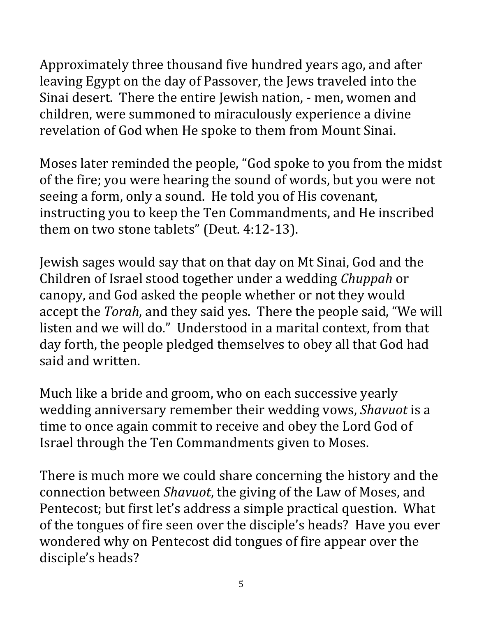Approximately three thousand five hundred years ago, and after leaving Egypt on the day of Passover, the Jews traveled into the Sinai desert. There the entire Jewish nation, - men, women and children, were summoned to miraculously experience a divine revelation of God when He spoke to them from Mount Sinai.

Moses later reminded the people, "God spoke to you from the midst of the fire; you were hearing the sound of words, but you were not seeing a form, only a sound. He told you of His covenant, instructing you to keep the Ten Commandments, and He inscribed them on two stone tablets" (Deut. 4:12-13).

Jewish sages would say that on that day on Mt Sinai, God and the Children of Israel stood together under a wedding *Chuppah* or canopy, and God asked the people whether or not they would accept the *Torah*, and they said yes. There the people said, "We will listen and we will do." Understood in a marital context, from that day forth, the people pledged themselves to obey all that God had said and written.

Much like a bride and groom, who on each successive yearly wedding anniversary remember their wedding vows, *Shavuot* is a time to once again commit to receive and obey the Lord God of Israel through the Ten Commandments given to Moses.

There is much more we could share concerning the history and the connection between *Shavuot*, the giving of the Law of Moses, and Pentecost; but first let's address a simple practical question. What of the tongues of fire seen over the disciple's heads? Have you ever wondered why on Pentecost did tongues of fire appear over the disciple's heads?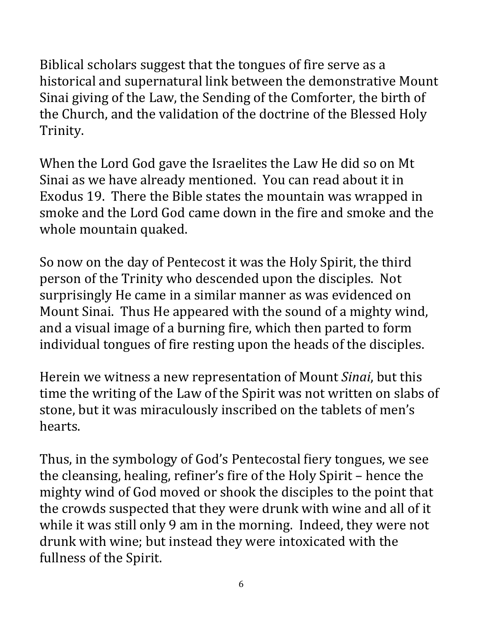Biblical scholars suggest that the tongues of fire serve as a historical and supernatural link between the demonstrative Mount Sinai giving of the Law, the Sending of the Comforter, the birth of the Church, and the validation of the doctrine of the Blessed Holy Trinity. 

When the Lord God gave the Israelites the Law He did so on Mt Sinai as we have already mentioned. You can read about it in Exodus 19. There the Bible states the mountain was wrapped in smoke and the Lord God came down in the fire and smoke and the whole mountain quaked.

So now on the day of Pentecost it was the Holy Spirit, the third person of the Trinity who descended upon the disciples. Not surprisingly He came in a similar manner as was evidenced on Mount Sinai. Thus He appeared with the sound of a mighty wind, and a visual image of a burning fire, which then parted to form individual tongues of fire resting upon the heads of the disciples.

Herein we witness a new representation of Mount *Sinai*, but this time the writing of the Law of the Spirit was not written on slabs of stone, but it was miraculously inscribed on the tablets of men's hearts.

Thus, in the symbology of God's Pentecostal fiery tongues, we see the cleansing, healing, refiner's fire of the Holy Spirit – hence the mighty wind of God moved or shook the disciples to the point that the crowds suspected that they were drunk with wine and all of it while it was still only 9 am in the morning. Indeed, they were not drunk with wine; but instead they were intoxicated with the fullness of the Spirit.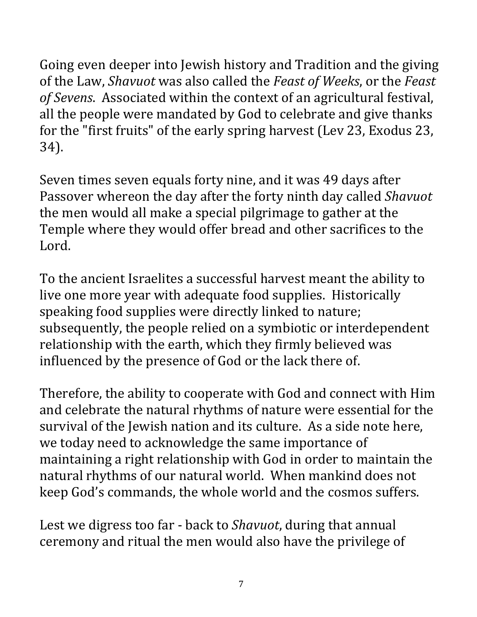Going even deeper into Jewish history and Tradition and the giving of the Law, *Shavuot* was also called the *Feast of Weeks*, or the *Feast* of Sevens. Associated within the context of an agricultural festival, all the people were mandated by God to celebrate and give thanks for the "first fruits" of the early spring harvest (Lev 23, Exodus 23, 34). 

Seven times seven equals forty nine, and it was 49 days after Passover whereon the day after the forty ninth day called *Shavuot* the men would all make a special pilgrimage to gather at the Temple where they would offer bread and other sacrifices to the Lord. 

To the ancient Israelites a successful harvest meant the ability to live one more year with adequate food supplies. Historically speaking food supplies were directly linked to nature; subsequently, the people relied on a symbiotic or interdependent relationship with the earth, which they firmly believed was influenced by the presence of God or the lack there of.

Therefore, the ability to cooperate with God and connect with Him and celebrate the natural rhythms of nature were essential for the survival of the Jewish nation and its culture. As a side note here, we today need to acknowledge the same importance of maintaining a right relationship with God in order to maintain the natural rhythms of our natural world. When mankind does not keep God's commands, the whole world and the cosmos suffers.

Lest we digress too far - back to *Shavuot*, during that annual ceremony and ritual the men would also have the privilege of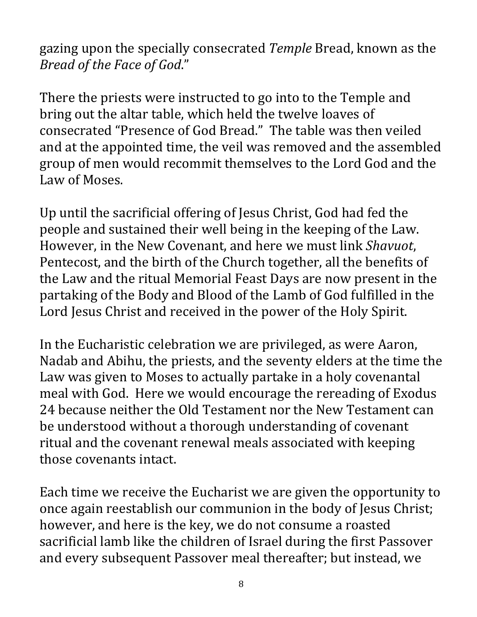gazing upon the specially consecrated *Temple* Bread, known as the *Bread of the Face of God*." 

There the priests were instructed to go into to the Temple and bring out the altar table, which held the twelve loaves of consecrated "Presence of God Bread." The table was then veiled and at the appointed time, the veil was removed and the assembled group of men would recommit themselves to the Lord God and the Law of Moses.

Up until the sacrificial offering of Jesus Christ, God had fed the people and sustained their well being in the keeping of the Law. However, in the New Covenant, and here we must link *Shavuot*, Pentecost, and the birth of the Church together, all the benefits of the Law and the ritual Memorial Feast Days are now present in the partaking of the Body and Blood of the Lamb of God fulfilled in the Lord Jesus Christ and received in the power of the Holy Spirit.

In the Eucharistic celebration we are privileged, as were Aaron, Nadab and Abihu, the priests, and the seventy elders at the time the Law was given to Moses to actually partake in a holy covenantal meal with God. Here we would encourage the rereading of Exodus 24 because neither the Old Testament nor the New Testament can be understood without a thorough understanding of covenant ritual and the covenant renewal meals associated with keeping those covenants intact.

Each time we receive the Eucharist we are given the opportunity to once again reestablish our communion in the body of Jesus Christ; however, and here is the key, we do not consume a roasted sacrificial lamb like the children of Israel during the first Passover and every subsequent Passover meal thereafter; but instead, we